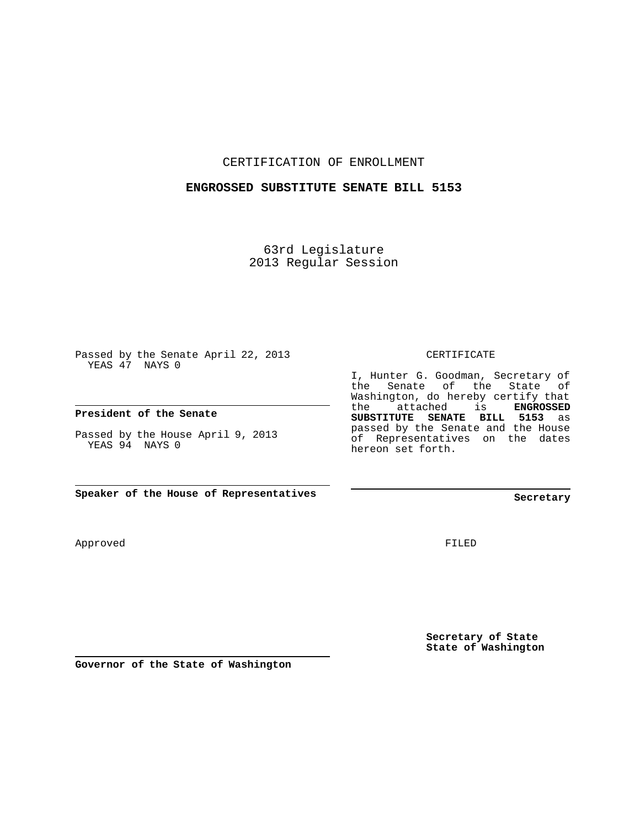### CERTIFICATION OF ENROLLMENT

#### **ENGROSSED SUBSTITUTE SENATE BILL 5153**

63rd Legislature 2013 Regular Session

Passed by the Senate April 22, 2013 YEAS 47 NAYS 0

### **President of the Senate**

Passed by the House April 9, 2013 YEAS 94 NAYS 0

**Speaker of the House of Representatives**

Approved

CERTIFICATE

I, Hunter G. Goodman, Secretary of the Senate of the State of Washington, do hereby certify that the attached is **ENGROSSED SUBSTITUTE SENATE BILL 5153** as passed by the Senate and the House of Representatives on the dates hereon set forth.

**Secretary**

FILED

**Secretary of State State of Washington**

**Governor of the State of Washington**